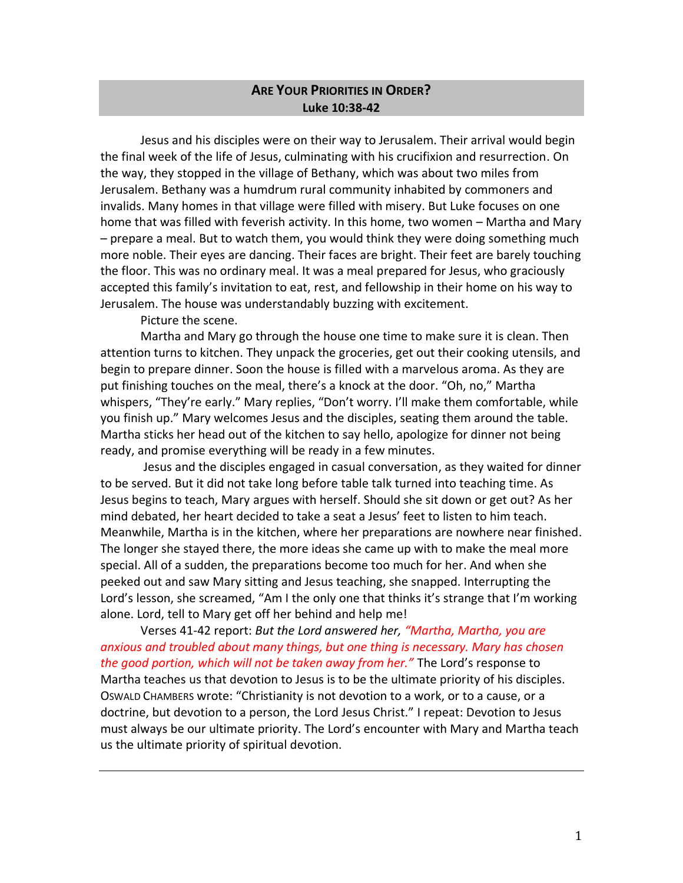## **ARE YOUR PRIORITIES IN ORDER? Luke 10:38-42**

Jesus and his disciples were on their way to Jerusalem. Their arrival would begin the final week of the life of Jesus, culminating with his crucifixion and resurrection. On the way, they stopped in the village of Bethany, which was about two miles from Jerusalem. Bethany was a humdrum rural community inhabited by commoners and invalids. Many homes in that village were filled with misery. But Luke focuses on one home that was filled with feverish activity. In this home, two women – Martha and Mary – prepare a meal. But to watch them, you would think they were doing something much more noble. Their eyes are dancing. Their faces are bright. Their feet are barely touching the floor. This was no ordinary meal. It was a meal prepared for Jesus, who graciously accepted this family's invitation to eat, rest, and fellowship in their home on his way to Jerusalem. The house was understandably buzzing with excitement.

Picture the scene.

Martha and Mary go through the house one time to make sure it is clean. Then attention turns to kitchen. They unpack the groceries, get out their cooking utensils, and begin to prepare dinner. Soon the house is filled with a marvelous aroma. As they are put finishing touches on the meal, there's a knock at the door. "Oh, no," Martha whispers, "They're early." Mary replies, "Don't worry. I'll make them comfortable, while you finish up." Mary welcomes Jesus and the disciples, seating them around the table. Martha sticks her head out of the kitchen to say hello, apologize for dinner not being ready, and promise everything will be ready in a few minutes.

Jesus and the disciples engaged in casual conversation, as they waited for dinner to be served. But it did not take long before table talk turned into teaching time. As Jesus begins to teach, Mary argues with herself. Should she sit down or get out? As her mind debated, her heart decided to take a seat a Jesus' feet to listen to him teach. Meanwhile, Martha is in the kitchen, where her preparations are nowhere near finished. The longer she stayed there, the more ideas she came up with to make the meal more special. All of a sudden, the preparations become too much for her. And when she peeked out and saw Mary sitting and Jesus teaching, she snapped. Interrupting the Lord's lesson, she screamed, "Am I the only one that thinks it's strange that I'm working alone. Lord, tell to Mary get off her behind and help me!

Verses 41-42 report: *But the Lord answered her, "Martha, Martha, you are anxious and troubled about many things, but one thing is necessary. Mary has chosen the good portion, which will not be taken away from her."* The Lord's response to Martha teaches us that devotion to Jesus is to be the ultimate priority of his disciples. OSWALD CHAMBERS wrote: "Christianity is not devotion to a work, or to a cause, or a doctrine, but devotion to a person, the Lord Jesus Christ." I repeat: Devotion to Jesus must always be our ultimate priority. The Lord's encounter with Mary and Martha teach us the ultimate priority of spiritual devotion.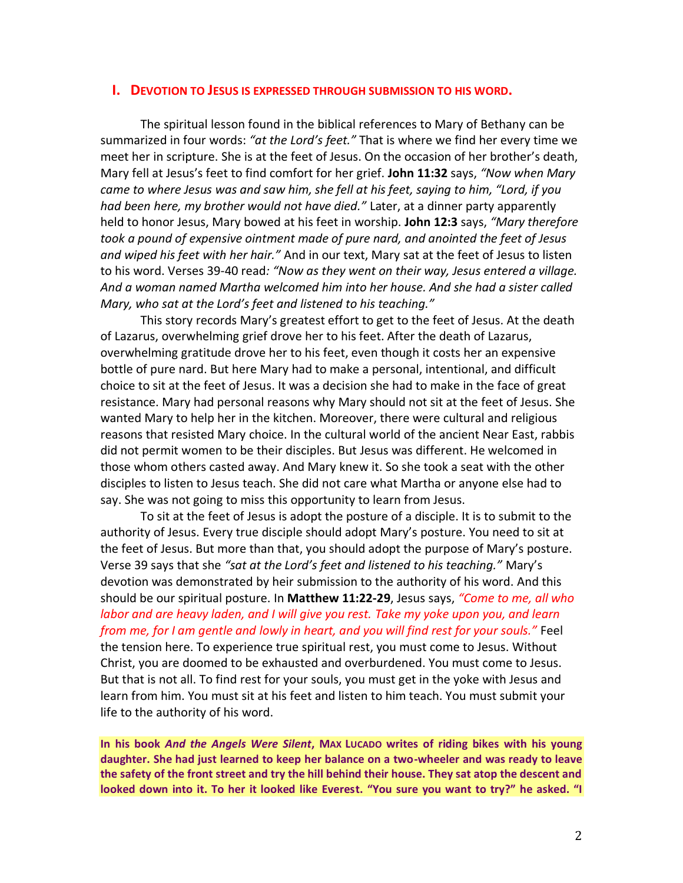## **I. DEVOTION TO JESUS IS EXPRESSED THROUGH SUBMISSION TO HIS WORD.**

The spiritual lesson found in the biblical references to Mary of Bethany can be summarized in four words: *"at the Lord's feet."* That is where we find her every time we meet her in scripture. She is at the feet of Jesus. On the occasion of her brother's death, Mary fell at Jesus's feet to find comfort for her grief. **John 11:32** says, *"Now when Mary came to where Jesus was and saw him, she fell at his feet, saying to him, "Lord, if you had been here, my brother would not have died."* Later, at a dinner party apparently held to honor Jesus, Mary bowed at his feet in worship. **John 12:3** says, *"Mary therefore took a pound of expensive ointment made of pure nard, and anointed the feet of Jesus and wiped his feet with her hair."* And in our text, Mary sat at the feet of Jesus to listen to his word. Verses 39-40 read*: "Now as they went on their way, Jesus entered a village. And a woman named Martha welcomed him into her house. And she had a sister called Mary, who sat at the Lord's feet and listened to his teaching."*

This story records Mary's greatest effort to get to the feet of Jesus. At the death of Lazarus, overwhelming grief drove her to his feet. After the death of Lazarus, overwhelming gratitude drove her to his feet, even though it costs her an expensive bottle of pure nard. But here Mary had to make a personal, intentional, and difficult choice to sit at the feet of Jesus. It was a decision she had to make in the face of great resistance. Mary had personal reasons why Mary should not sit at the feet of Jesus. She wanted Mary to help her in the kitchen. Moreover, there were cultural and religious reasons that resisted Mary choice. In the cultural world of the ancient Near East, rabbis did not permit women to be their disciples. But Jesus was different. He welcomed in those whom others casted away. And Mary knew it. So she took a seat with the other disciples to listen to Jesus teach. She did not care what Martha or anyone else had to say. She was not going to miss this opportunity to learn from Jesus.

To sit at the feet of Jesus is adopt the posture of a disciple. It is to submit to the authority of Jesus. Every true disciple should adopt Mary's posture. You need to sit at the feet of Jesus. But more than that, you should adopt the purpose of Mary's posture. Verse 39 says that she *"sat at the Lord's feet and listened to his teaching."* Mary's devotion was demonstrated by heir submission to the authority of his word. And this should be our spiritual posture. In **Matthew 11:22-29**, Jesus says, *"Come to me, all who labor and are heavy laden, and I will give you rest. Take my yoke upon you, and learn from me, for I am gentle and lowly in heart, and you will find rest for your souls."* Feel the tension here. To experience true spiritual rest, you must come to Jesus. Without Christ, you are doomed to be exhausted and overburdened. You must come to Jesus. But that is not all. To find rest for your souls, you must get in the yoke with Jesus and learn from him. You must sit at his feet and listen to him teach. You must submit your life to the authority of his word.

**In his book** *And the Angels Were Silent***, MAX LUCADO writes of riding bikes with his young daughter. She had just learned to keep her balance on a two-wheeler and was ready to leave the safety of the front street and try the hill behind their house. They sat atop the descent and looked down into it. To her it looked like Everest. "You sure you want to try?" he asked. "I**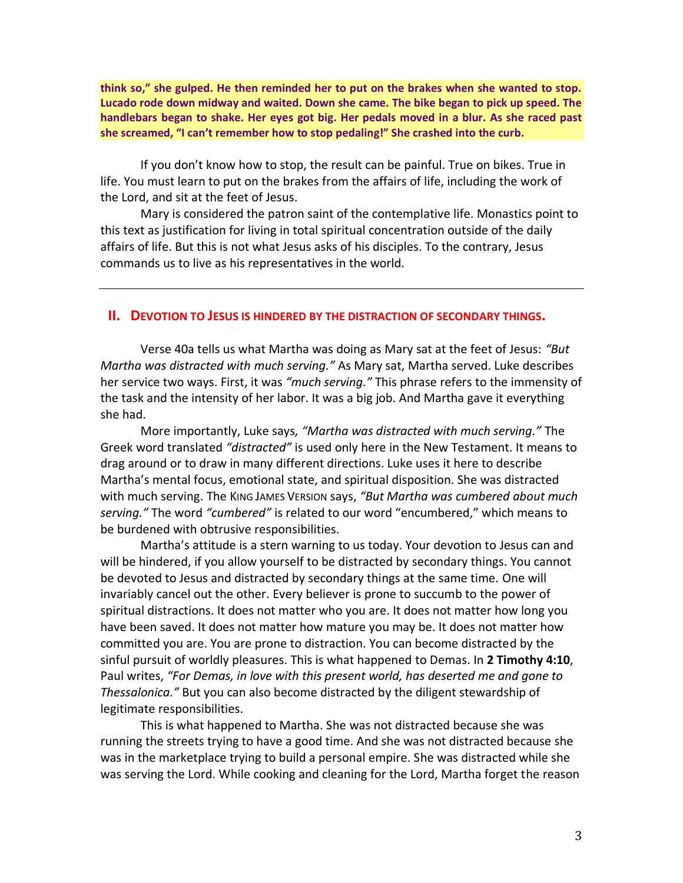**think so," she gulped. He then reminded her to put on the brakes when she wanted to stop. Lucado rode down midway and waited. Down she came. The bike began to pick up speed. The handlebars began to shake. Her eyes got big. Her pedals moved in a blur. As she raced past she screamed, "I can't remember how to stop pedaling!" She crashed into the curb.** 

If you don't know how to stop, the result can be painful. True on bikes. True in life. You must learn to put on the brakes from the affairs of life, including the work of the Lord, and sit at the feet of Jesus.

Mary is considered the patron saint of the contemplative life. Monastics point to this text as justification for living in total spiritual concentration outside of the daily affairs of life. But this is not what Jesus asks of his disciples. To the contrary, Jesus commands us to live as his representatives in the world.

## **II. DEVOTION TO JESUS IS HINDERED BY THE DISTRACTION OF SECONDARY THINGS.**

Verse 40a tells us what Martha was doing as Mary sat at the feet of Jesus: *"But Martha was distracted with much serving."* As Mary sat, Martha served. Luke describes her service two ways. First, it was *"much serving."* This phrase refers to the immensity of the task and the intensity of her labor. It was a big job. And Martha gave it everything she had.

More importantly, Luke says*, "Martha was distracted with much serving."* The Greek word translated *"distracted"* is used only here in the New Testament. It means to drag around or to draw in many different directions. Luke uses it here to describe Martha's mental focus, emotional state, and spiritual disposition. She was distracted with much serving. The KING JAMES VERSION says, *"But Martha was cumbered about much serving."* The word *"cumbered"* is related to our word "encumbered," which means to be burdened with obtrusive responsibilities.

Martha's attitude is a stern warning to us today. Your devotion to Jesus can and will be hindered, if you allow yourself to be distracted by secondary things. You cannot be devoted to Jesus and distracted by secondary things at the same time. One will invariably cancel out the other. Every believer is prone to succumb to the power of spiritual distractions. It does not matter who you are. It does not matter how long you have been saved. It does not matter how mature you may be. It does not matter how committed you are. You are prone to distraction. You can become distracted by the sinful pursuit of worldly pleasures. This is what happened to Demas. In **2 Timothy 4:10**, Paul writes, *"For Demas, in love with this present world, has deserted me and gone to Thessalonica."* But you can also become distracted by the diligent stewardship of legitimate responsibilities.

This is what happened to Martha. She was not distracted because she was running the streets trying to have a good time. And she was not distracted because she was in the marketplace trying to build a personal empire. She was distracted while she was serving the Lord. While cooking and cleaning for the Lord, Martha forget the reason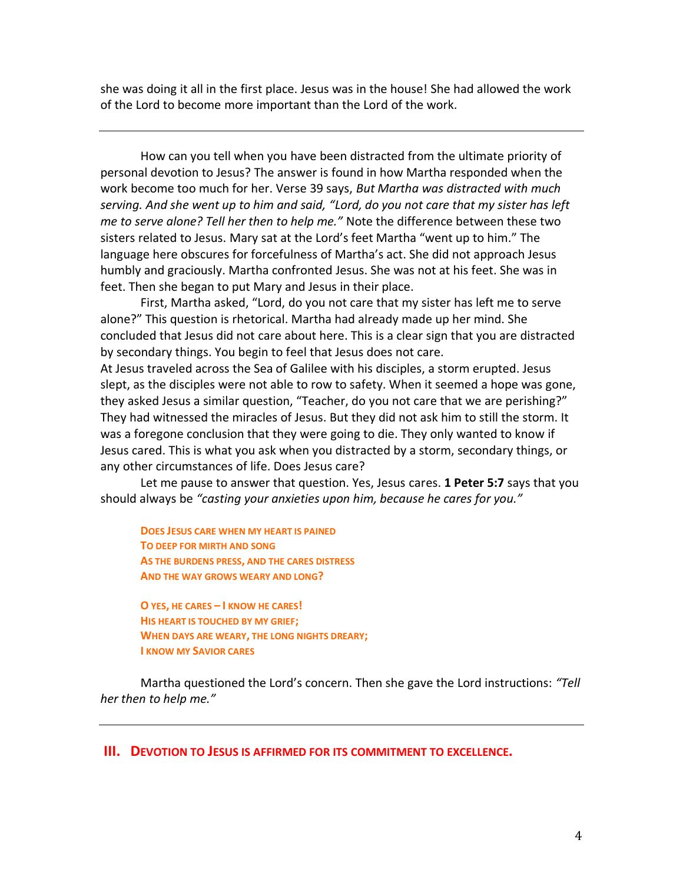she was doing it all in the first place. Jesus was in the house! She had allowed the work of the Lord to become more important than the Lord of the work.

How can you tell when you have been distracted from the ultimate priority of personal devotion to Jesus? The answer is found in how Martha responded when the work become too much for her. Verse 39 says, *But Martha was distracted with much serving. And she went up to him and said, "Lord, do you not care that my sister has left me to serve alone? Tell her then to help me."* Note the difference between these two sisters related to Jesus. Mary sat at the Lord's feet Martha "went up to him." The language here obscures for forcefulness of Martha's act. She did not approach Jesus humbly and graciously. Martha confronted Jesus. She was not at his feet. She was in feet. Then she began to put Mary and Jesus in their place.

First, Martha asked, "Lord, do you not care that my sister has left me to serve alone?" This question is rhetorical. Martha had already made up her mind. She concluded that Jesus did not care about here. This is a clear sign that you are distracted by secondary things. You begin to feel that Jesus does not care. At Jesus traveled across the Sea of Galilee with his disciples, a storm erupted. Jesus slept, as the disciples were not able to row to safety. When it seemed a hope was gone, they asked Jesus a similar question, "Teacher, do you not care that we are perishing?" They had witnessed the miracles of Jesus. But they did not ask him to still the storm. It was a foregone conclusion that they were going to die. They only wanted to know if Jesus cared. This is what you ask when you distracted by a storm, secondary things, or any other circumstances of life. Does Jesus care?

Let me pause to answer that question. Yes, Jesus cares. **1 Peter 5:7** says that you should always be *"casting your anxieties upon him, because he cares for you."*

**DOES JESUS CARE WHEN MY HEART IS PAINED TO DEEP FOR MIRTH AND SONG AS THE BURDENS PRESS, AND THE CARES DISTRESS AND THE WAY GROWS WEARY AND LONG?**

**O YES, HE CARES – I KNOW HE CARES! HIS HEART IS TOUCHED BY MY GRIEF; WHEN DAYS ARE WEARY, THE LONG NIGHTS DREARY; I KNOW MY SAVIOR CARES** 

Martha questioned the Lord's concern. Then she gave the Lord instructions: *"Tell her then to help me."*

**III. DEVOTION TO JESUS IS AFFIRMED FOR ITS COMMITMENT TO EXCELLENCE.**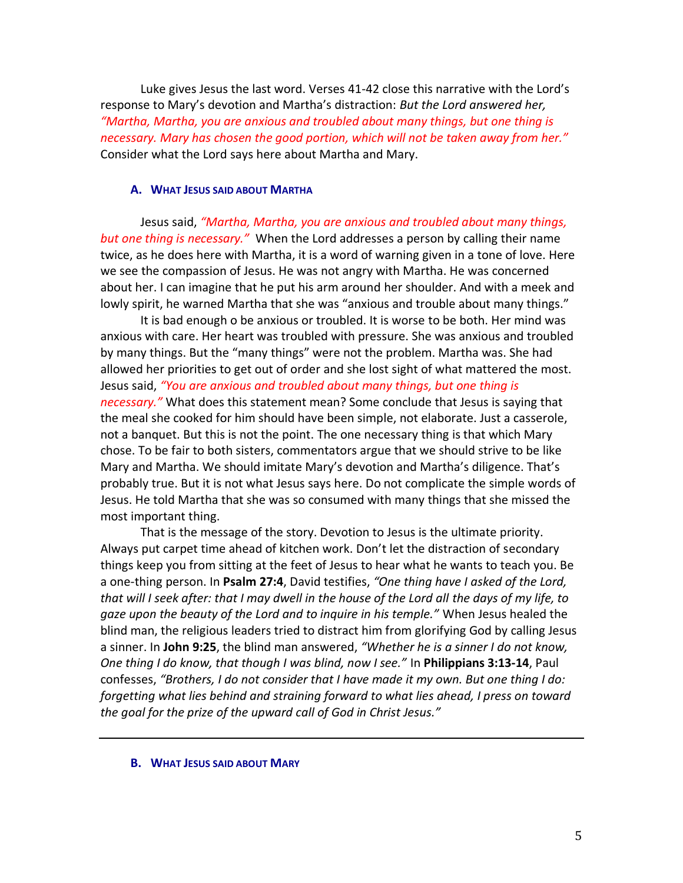Luke gives Jesus the last word. Verses 41-42 close this narrative with the Lord's response to Mary's devotion and Martha's distraction: *But the Lord answered her, "Martha, Martha, you are anxious and troubled about many things, but one thing is necessary. Mary has chosen the good portion, which will not be taken away from her."* Consider what the Lord says here about Martha and Mary.

## **A. WHAT JESUS SAID ABOUT MARTHA**

Jesus said, *"Martha, Martha, you are anxious and troubled about many things, but one thing is necessary."* When the Lord addresses a person by calling their name twice, as he does here with Martha, it is a word of warning given in a tone of love. Here we see the compassion of Jesus. He was not angry with Martha. He was concerned about her. I can imagine that he put his arm around her shoulder. And with a meek and lowly spirit, he warned Martha that she was "anxious and trouble about many things."

It is bad enough o be anxious or troubled. It is worse to be both. Her mind was anxious with care. Her heart was troubled with pressure. She was anxious and troubled by many things. But the "many things" were not the problem. Martha was. She had allowed her priorities to get out of order and she lost sight of what mattered the most. Jesus said, *"You are anxious and troubled about many things, but one thing is necessary."* What does this statement mean? Some conclude that Jesus is saying that the meal she cooked for him should have been simple, not elaborate. Just a casserole, not a banquet. But this is not the point. The one necessary thing is that which Mary chose. To be fair to both sisters, commentators argue that we should strive to be like Mary and Martha. We should imitate Mary's devotion and Martha's diligence. That's probably true. But it is not what Jesus says here. Do not complicate the simple words of Jesus. He told Martha that she was so consumed with many things that she missed the most important thing.

That is the message of the story. Devotion to Jesus is the ultimate priority. Always put carpet time ahead of kitchen work. Don't let the distraction of secondary things keep you from sitting at the feet of Jesus to hear what he wants to teach you. Be a one-thing person. In **Psalm 27:4**, David testifies, *"One thing have I asked of the Lord, that will I seek after: that I may dwell in the house of the Lord all the days of my life, to gaze upon the beauty of the Lord and to inquire in his temple."* When Jesus healed the blind man, the religious leaders tried to distract him from glorifying God by calling Jesus a sinner. In **John 9:25**, the blind man answered, *"Whether he is a sinner I do not know, One thing I do know, that though I was blind, now I see."* In **Philippians 3:13-14**, Paul confesses, *"Brothers, I do not consider that I have made it my own. But one thing I do: forgetting what lies behind and straining forward to what lies ahead, I press on toward the goal for the prize of the upward call of God in Christ Jesus."*

**B. WHAT JESUS SAID ABOUT MARY**